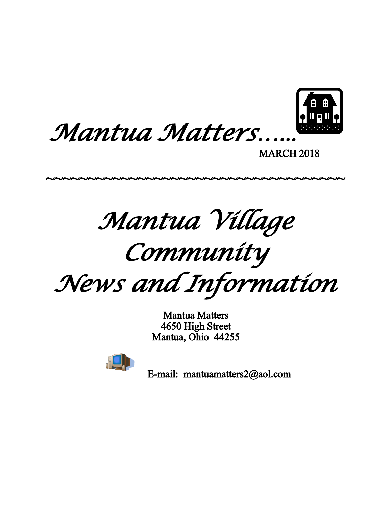



MARCH 2018

*Mantua Village*

~~~~~~~~~~~~~~~~~~~~~~~~~~~~~~~~~~~~~

*Community*

*News and Information*

Mantua Matters 4650 High Street Mantua, Ohio 44255



E-mail: mantuamatters2@aol.com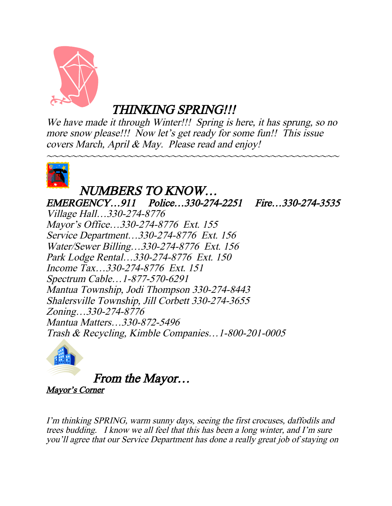

THINKING SPRING!!!

We have made it through Winter!!! Spring is here, it has sprung, so no more snow please!!! Now let's get ready for some fun!! This issue covers March, April & May. Please read and enjoy!

~~~~~~~~~~~~~~~~~~~~~~~~~~~~~~~~~~~~~~~~~~~~~~~



### NUMBERS TO KNOW… EMERGENCY…911 Police…330-274-2251 Fire…330-274-3535 Village Hall…330-274-8776 Mayor's Office…330-274-8776 Ext. 155 Service Department…330-274-8776 Ext. 156 Water/Sewer Billing…330-274-8776 Ext. 156 Park Lodge Rental…330-274-8776 Ext. 150 Income Tax…330-274-8776 Ext. 151 Spectrum Cable…1-877-570-6291 Mantua Township, Jodi Thompson 330-274-8443 Shalersville Township, Jill Corbett 330-274-3655 Zoning…330-274-8776 Mantua Matters…330-872-5496 Trash & Recycling, Kimble Companies…1-800-201-0005



From the Mayor…

Mayor's Corner

I'm thinking SPRING, warm sunny days, seeing the first crocuses, daffodils and trees budding. I know we all feel that this has been a long winter, and I'm sure you'll agree that our Service Department has done a really great job of staying on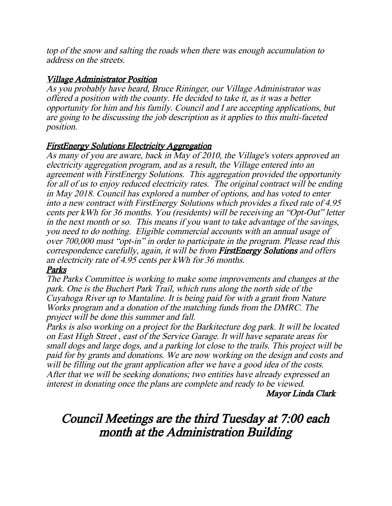top of the snow and salting the roads when there was enough accumulation to address on the streets.

### Village Administrator Position

As you probably have heard, Bruce Rininger, our Village Administrator was offered a position with the county. He decided to take it, as it was a better opportunity for him and his family. Council and I are accepting applications, but are going to be discussing the job description as it applies to this multi-faceted position.

### FirstEnergy Solutions Electricity Aggregation

As many of you are aware, back in May of 2010, the Village's voters approved an electricity aggregation program, and as a result, the Village entered into an agreement with FirstEnergy Solutions. This aggregation provided the opportunity for all of us to enjoy reduced electricity rates. The original contract will be ending in May 2018. Council has explored a number of options, and has voted to enter into a new contract with FirstEnergy Solutions which provides a fixed rate of 4.95 cents per kWh for 36 months. You (residents) will be receiving an "Opt-Out" letter in the next month or so. This means if you want to take advantage of the savings, you need to do nothing. Eligible commercial accounts with an annual usage of over 700,000 must "opt-in" in order to participate in the program. Please read this correspondence carefully, again, it will be from FirstEnergy Solutions and offers an electricity rate of 4.95 cents per kWh for 36 months.

### Parks

The Parks Committee is working to make some improvements and changes at the park. One is the Buchert Park Trail, which runs along the north side of the Cuyahoga River up to Mantaline. It is being paid for with a grant from Nature Works program and a donation of the matching funds from the DMRC. The project will be done this summer and fall.

Parks is also working on a project for the Barkitecture dog park. It will be located on East High Street , east of the Service Garage. It will have separate areas for small dogs and large dogs, and a parking lot close to the trails. This project will be paid for by grants and donations. We are now working on the design and costs and will be filling out the grant application after we have a good idea of the costs. After that we will be seeking donations; two entities have already expressed an interest in donating once the plans are complete and ready to be viewed.

Mayor Linda Clark

# Council Meetings are the third Tuesday at 7:00 each month at the Administration Building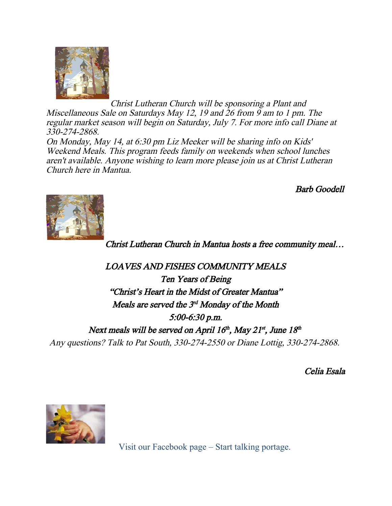

 Christ Lutheran Church will be sponsoring a Plant and Miscellaneous Sale on Saturdays May 12, 19 and 26 from 9 am to 1 pm. The regular market season will begin on Saturday, July 7. For more info call Diane at 330-274-2868.

On Monday, May 14, at 6:30 pm Liz Meeker will be sharing info on Kids' Weekend Meals. This program feeds family on weekends when school lunches aren't available. Anyone wishing to learn more please join us at Christ Lutheran Church here in Mantua.

Barb Goodell



Christ Lutheran Church in Mantua hosts a free community meal…

LOAVES AND FISHES COMMUNITY MEALS Ten Years of Being "Christ's Heart in the Midst of Greater Mantua" Meals are served the  $3^{rd}$  Monday of the Month 5:00-6:30 p.m. Next meals will be served on April  $16<sup>th</sup>$ , May 21<sup>st</sup>, June  $18<sup>th</sup>$ Any questions? Talk to Pat South, 330-274-2550 or Diane Lottig, 330-274-2868.

Celia Esala



Visit our Facebook page – Start talking portage.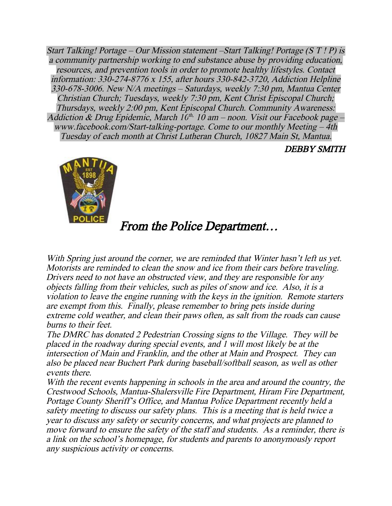Start Talking! Portage – Our Mission statement –Start Talking! Portage (S T ! P) is a community partnership working to end substance abuse by providing education, resources, and prevention tools in order to promote healthy lifestyles. Contact information: 330-274-8776 x 155, after hours 330-842-3720, Addiction Helpline 330-678-3006. New N/A meetings – Saturdays, weekly 7:30 pm, Mantua Center Christian Church; Tuesdays, weekly 7:30 pm, Kent Christ Episcopal Church; Thursdays, weekly 2:00 pm, Kent Episcopal Church. Community Awareness: Addiction & Drug Epidemic, March  $10^{th}$ . 10 am – noon. Visit our Facebook page – www.facebook.com/Start-talking-portage. Come to our monthly Meeting – 4th Tuesday of each month at Christ Lutheran Church, 10827 Main St, Mantua.

DEBBY SMITH



## From the Police Department…

With Spring just around the corner, we are reminded that Winter hasn't left us yet. Motorists are reminded to clean the snow and ice from their cars before traveling. Drivers need to not have an obstructed view, and they are responsible for any objects falling from their vehicles, such as piles of snow and ice. Also, it is a violation to leave the engine running with the keys in the ignition. Remote starters are exempt from this. Finally, please remember to bring pets inside during extreme cold weather, and clean their paws often, as salt from the roads can cause burns to their feet.

The DMRC has donated 2 Pedestrian Crossing signs to the Village. They will be placed in the roadway during special events, and 1 will most likely be at the intersection of Main and Franklin, and the other at Main and Prospect. They can also be placed near Buchert Park during baseball/softball season, as well as other events there.

With the recent events happening in schools in the area and around the country, the Crestwood Schools, Mantua-Shalersville Fire Department, Hiram Fire Department, Portage County Sheriff's Office, and Mantua Police Department recently held a safety meeting to discuss our safety plans. This is a meeting that is held twice a year to discuss any safety or security concerns, and what projects are planned to move forward to ensure the safety of the staff and students. As a reminder, there is a link on the school's homepage, for students and parents to anonymously report any suspicious activity or concerns.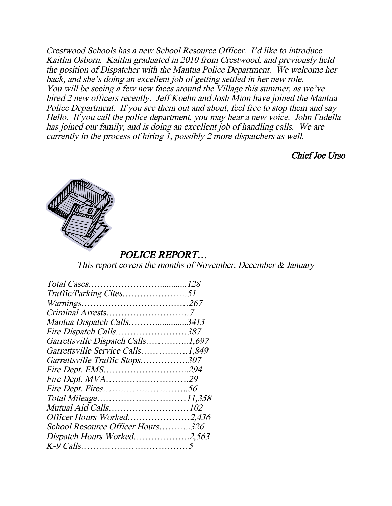Crestwood Schools has a new School Resource Officer. I'd like to introduce Kaitlin Osborn. Kaitlin graduated in 2010 from Crestwood, and previously held the position of Dispatcher with the Mantua Police Department. We welcome her back, and she's doing an excellent job of getting settled in her new role. You will be seeing a few new faces around the Village this summer, as we've hired 2 new officers recently. Jeff Koehn and Josh Mion have joined the Mantua Police Department. If you see them out and about, feel free to stop them and say Hello. If you call the police department, you may hear a new voice. John Fudella has joined our family, and is doing an excellent job of handling calls. We are currently in the process of hiring 1, possibly 2 more dispatchers as well.

Chief Joe Urso



### POLICE REPORT…

This report covers the months of November, December  $\&$  January

| Traffic/Parking Cites51           |  |
|-----------------------------------|--|
|                                   |  |
|                                   |  |
| Mantua Dispatch Calls3413         |  |
| Fire Dispatch Calls387            |  |
| Garrettsville Dispatch Calls1,697 |  |
| Garrettsville Service Calls1,849  |  |
| Garrettsville Traffic Stops307    |  |
| Fire Dept. EMS294                 |  |
| <i>Fire Dept. MVA29</i>           |  |
|                                   |  |
|                                   |  |
|                                   |  |
| Officer Hours Worked2,436         |  |
| School Resource Officer Hours326  |  |
| Dispatch Hours Worked2,563        |  |
|                                   |  |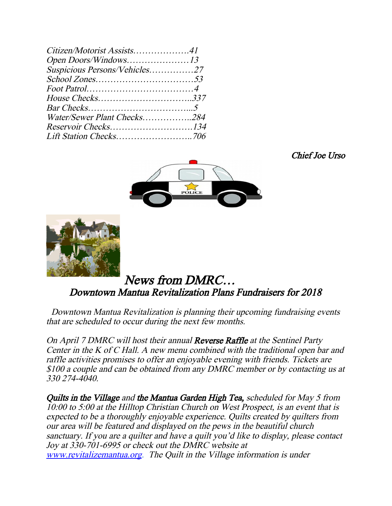| Suspicious Persons/Vehicles27<br>Water/Sewer Plant Checks284<br>Reservoir Checks134 | Citizen/Motorist Assists41 |  |
|-------------------------------------------------------------------------------------|----------------------------|--|
|                                                                                     |                            |  |
|                                                                                     |                            |  |
|                                                                                     |                            |  |
|                                                                                     |                            |  |
|                                                                                     |                            |  |
|                                                                                     |                            |  |
|                                                                                     |                            |  |
|                                                                                     |                            |  |
|                                                                                     |                            |  |

Chief Joe Urso





### News from DMRC… Downtown Mantua Revitalization Plans Fundraisers for 2018

Downtown Mantua Revitalization is planning their upcoming fundraising events that are scheduled to occur during the next few months.

On April 7 DMRC will host their annual **Reverse Raffle** at the Sentinel Party Center in the K of C Hall. A new menu combined with the traditional open bar and raffle activities promises to offer an enjoyable evening with friends. Tickets are \$100 a couple and can be obtained from any DMRC member or by contacting us at 330 274-4040.

Quilts in the Village and the Mantua Garden High Tea, scheduled for May 5 from 10:00 to 5:00 at the Hilltop Christian Church on West Prospect, is an event that is expected to be a thoroughly enjoyable experience. Quilts created by quilters from our area will be featured and displayed on the pews in the beautiful church sanctuary. If you are a quilter and have a quilt you'd like to display, please contact Joy at 330-701-6995 or check out the DMRC website at [www.revitalizemantua.org](http://www.revitalizemantua.org/). The Quilt in the Village information is under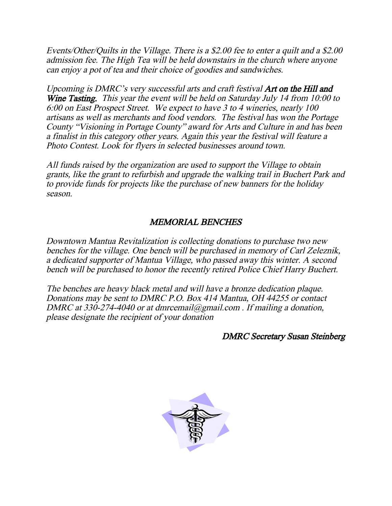Events/Other/Quilts in the Village. There is a \$2.00 fee to enter a quilt and a \$2.00 admission fee. The High Tea will be held downstairs in the church where anyone can enjoy a pot of tea and their choice of goodies and sandwiches.

Upcoming is DMRC's very successful arts and craft festival **Art on the Hill and** Wine Tasting. This year the event will be held on Saturday July 14 from 10:00 to 6:00 on East Prospect Street. We expect to have 3 to 4 wineries, nearly 100 artisans as well as merchants and food vendors. The festival has won the Portage County "Visioning in Portage County" award for Arts and Culture in and has been a finalist in this category other years. Again this year the festival will feature a Photo Contest. Look for flyers in selected businesses around town.

All funds raised by the organization are used to support the Village to obtain grants, like the grant to refurbish and upgrade the walking trail in Buchert Park and to provide funds for projects like the purchase of new banners for the holiday season.

### MEMORIAL BENCHES

Downtown Mantua Revitalization is collecting donations to purchase two new benches for the village. One bench will be purchased in memory of Carl Zeleznik, a dedicated supporter of Mantua Village, who passed away this winter. A second bench will be purchased to honor the recently retired Police Chief Harry Buchert.

The benches are heavy black metal and will have a bronze dedication plaque. Donations may be sent to DMRC P.O. Box 414 Mantua, OH 44255 or contact DMRC at 330-274-4040 or at dmrcemail@gmail.com. If mailing a donation, please designate the recipient of your donation

#### DMRC Secretary Susan Steinberg

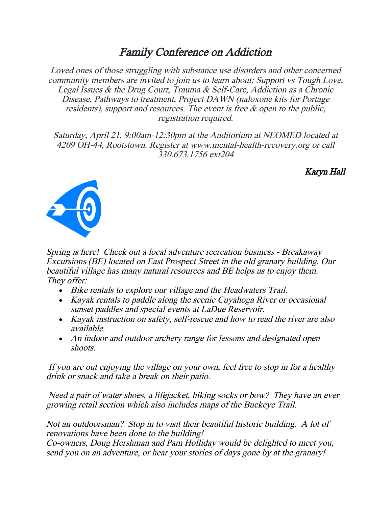## Family Conference on Addiction

Loved ones of those struggling with substance use disorders and other concerned community members are invited to join us to learn about: Support vs Tough Love, Legal Issues & the Drug Court, Trauma & Self-Care, Addiction as a Chronic Disease, Pathways to treatment, Project DAWN (naloxone kits for Portage residents), support and resources. The event is free & open to the public, registration required.

Saturday, April 21, 9:00am-12:30pm at the Auditorium at NEOMED located at 4209 OH-44, Rootstown. Register at www.mental-health-recovery.org or call 330.673.1756 ext204

Karyn Hall



Spring is here! Check out a local adventure recreation business - Breakaway Excursions (BE) located on East Prospect Street in the old granary building. Our beautiful village has many natural resources and BE helps us to enjoy them. They offer:

- Bike rentals to explore our village and the Headwaters Trail.
- Kayak rentals to paddle along the scenic Cuyahoga River or occasional sunset paddles and special events at LaDue Reservoir.
- Kayak instruction on safety, self-rescue and how to read the river are also available.
- An indoor and outdoor archery range for lessons and designated open shoots.

 If you are out enjoying the village on your own, feel free to stop in for a healthy drink or snack and take a break on their patio.

 Need a pair of water shoes, a lifejacket, hiking socks or bow? They have an ever growing retail section which also includes maps of the Buckeye Trail.

Not an outdoorsman? Stop in to visit their beautiful historic building. A lot of renovations have been done to the building!

Co-owners, Doug Hershman and Pam Holliday would be delighted to meet you, send you on an adventure, or hear your stories of days gone by at the granary!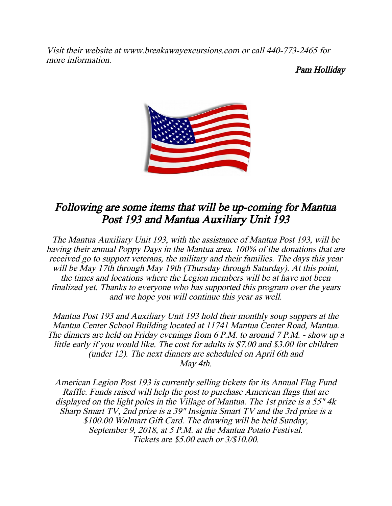Visit their website at www.breakawayexcursions.com or call 440-773-2465 for more information.

Pam Holliday



## Following are some items that will be up-coming for Mantua Post 193 and Mantua Auxiliary Unit 193

The Mantua Auxiliary Unit 193, with the assistance of Mantua Post 193, will be having their annual Poppy Days in the Mantua area. 100% of the donations that are received go to support veterans, the military and their families. The days this year will be May 17th through May 19th (Thursday through Saturday). At this point, the times and locations where the Legion members will be at have not been finalized yet. Thanks to everyone who has supported this program over the years and we hope you will continue this year as well.

Mantua Post 193 and Auxiliary Unit 193 hold their monthly soup suppers at the Mantua Center School Building located at 11741 Mantua Center Road, Mantua. The dinners are held on Friday evenings from 6 P.M. to around 7 P.M. - show up a little early if you would like. The cost for adults is \$7.00 and \$3.00 for children (under 12). The next dinners are scheduled on April 6th and May 4th.

American Legion Post 193 is currently selling tickets for its Annual Flag Fund Raffle. Funds raised will help the post to purchase American flags that are displayed on the light poles in the Village of Mantua. The 1st prize is a 55" 4k Sharp Smart TV, 2nd prize is a 39" Insignia Smart TV and the 3rd prize is a \$100.00 Walmart Gift Card. The drawing will be held Sunday, September 9, 2018, at 5 P.M. at the Mantua Potato Festival. Tickets are \$5.00 each or 3/\$10.00.